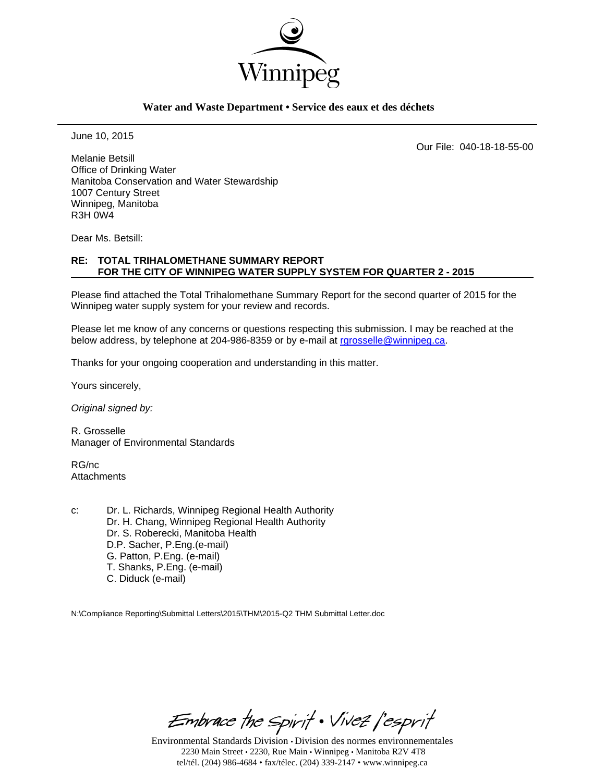

#### **Water and Waste Department • Service des eaux et des déchets**

June 10, 2015

Our File: 040-18-18-55-00

Melanie Betsill Office of Drinking Water Manitoba Conservation and Water Stewardship 1007 Century Street Winnipeg, Manitoba R3H 0W4

Dear Ms. Betsill:

### **RE: TOTAL TRIHALOMETHANE SUMMARY REPORT FOR THE CITY OF WINNIPEG WATER SUPPLY SYSTEM FOR QUARTER 2 - 2015**

Please find attached the Total Trihalomethane Summary Report for the second quarter of 2015 for the Winnipeg water supply system for your review and records.

Please let me know of any concerns or questions respecting this submission. I may be reached at the below address, by telephone at 204-986-8359 or by e-mail at rgrosselle@winnipeg.ca.

Thanks for your ongoing cooperation and understanding in this matter.

Yours sincerely,

*Original signed by:* 

R. Grosselle Manager of Environmental Standards

RG/nc **Attachments** 

c: Dr. L. Richards, Winnipeg Regional Health Authority Dr. H. Chang, Winnipeg Regional Health Authority Dr. S. Roberecki, Manitoba Health D.P. Sacher, P.Eng.(e-mail) G. Patton, P.Eng. (e-mail) T. Shanks, P.Eng. (e-mail) C. Diduck (e-mail)

N:\Compliance Reporting\Submittal Letters\2015\THM\2015-Q2 THM Submittal Letter.doc

Embrace the Spirit . Vivez l'esprit

Environmental Standards Division • Division des normes environnementales 2230 Main Street • 2230, Rue Main • Winnipeg • Manitoba R2V 4T8 tel/tél. (204) 986-4684 • fax/télec. (204) 339-2147 • www.winnipeg.ca